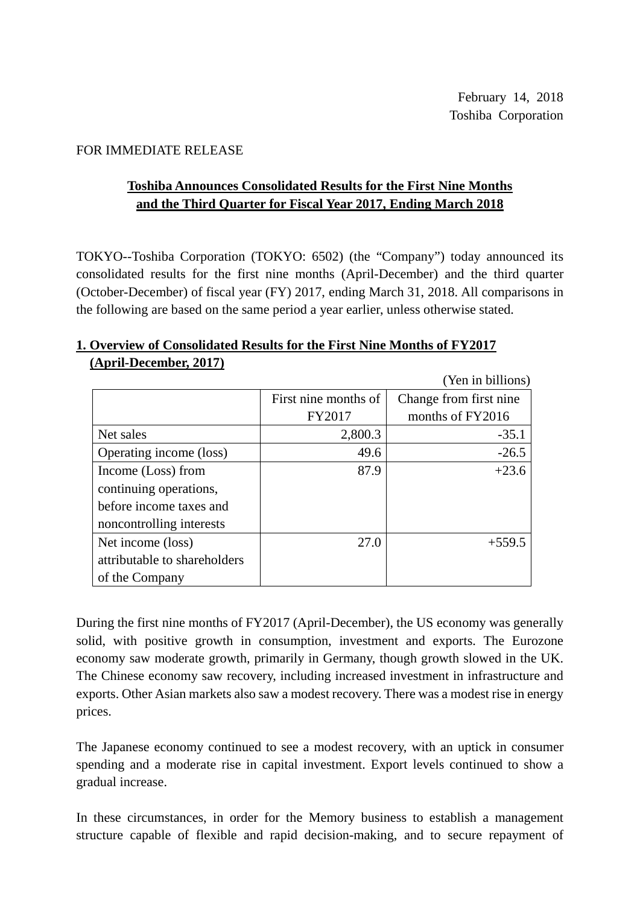#### FOR IMMEDIATE RELEASE

### **Toshiba Announces Consolidated Results for the First Nine Months and the Third Quarter for Fiscal Year 2017, Ending March 2018**

TOKYO--Toshiba Corporation (TOKYO: 6502) (the "Company") today announced its consolidated results for the first nine months (April-December) and the third quarter (October-December) of fiscal year (FY) 2017, ending March 31, 2018. All comparisons in the following are based on the same period a year earlier, unless otherwise stated.

#### **1. Overview of Consolidated Results for the First Nine Months of FY2017 (April-December, 2017)**

(Yen in billions) First nine months of FY2017 Change from first nine months of FY2016 Net sales  $2,800.3$  -35.1 Operating income (loss)  $\vert$  49.6  $\vert$  -26.5 Income (Loss) from continuing operations, before income taxes and noncontrolling interests  $87.9$  +23.6 Net income (loss) attributable to shareholders of the Company  $27.0$  +559.5

During the first nine months of FY2017 (April-December), the US economy was generally solid, with positive growth in consumption, investment and exports. The Eurozone economy saw moderate growth, primarily in Germany, though growth slowed in the UK. The Chinese economy saw recovery, including increased investment in infrastructure and exports. Other Asian markets also saw a modest recovery. There was a modest rise in energy prices.

The Japanese economy continued to see a modest recovery, with an uptick in consumer spending and a moderate rise in capital investment. Export levels continued to show a gradual increase.

In these circumstances, in order for the Memory business to establish a management structure capable of flexible and rapid decision-making, and to secure repayment of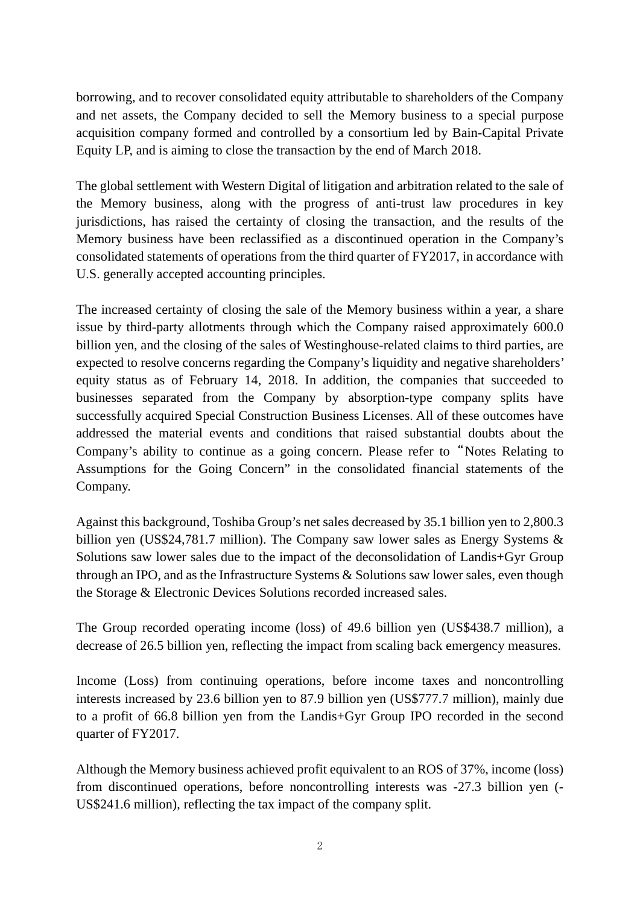borrowing, and to recover consolidated equity attributable to shareholders of the Company and net assets, the Company decided to sell the Memory business to a special purpose acquisition company formed and controlled by a consortium led by Bain-Capital Private Equity LP, and is aiming to close the transaction by the end of March 2018.

The global settlement with Western Digital of litigation and arbitration related to the sale of the Memory business, along with the progress of anti-trust law procedures in key jurisdictions, has raised the certainty of closing the transaction, and the results of the Memory business have been reclassified as a discontinued operation in the Company's consolidated statements of operations from the third quarter of FY2017, in accordance with U.S. generally accepted accounting principles.

The increased certainty of closing the sale of the Memory business within a year, a share issue by third-party allotments through which the Company raised approximately 600.0 billion yen, and the closing of the sales of Westinghouse-related claims to third parties, are expected to resolve concerns regarding the Company's liquidity and negative shareholders' equity status as of February 14, 2018. In addition, the companies that succeeded to businesses separated from the Company by absorption-type company splits have successfully acquired Special Construction Business Licenses. All of these outcomes have addressed the material events and conditions that raised substantial doubts about the Company's ability to continue as a going concern. Please refer to "Notes Relating to Assumptions for the Going Concern" in the consolidated financial statements of the Company.

Against this background, Toshiba Group's net sales decreased by 35.1 billion yen to 2,800.3 billion yen (US\$24,781.7 million). The Company saw lower sales as Energy Systems & Solutions saw lower sales due to the impact of the deconsolidation of Landis+Gyr Group through an IPO, and as the Infrastructure Systems & Solutions saw lower sales, even though the Storage & Electronic Devices Solutions recorded increased sales.

The Group recorded operating income (loss) of 49.6 billion yen (US\$438.7 million), a decrease of 26.5 billion yen, reflecting the impact from scaling back emergency measures.

Income (Loss) from continuing operations, before income taxes and noncontrolling interests increased by 23.6 billion yen to 87.9 billion yen (US\$777.7 million), mainly due to a profit of 66.8 billion yen from the Landis+Gyr Group IPO recorded in the second quarter of FY2017.

Although the Memory business achieved profit equivalent to an ROS of 37%, income (loss) from discontinued operations, before noncontrolling interests was -27.3 billion yen (- US\$241.6 million), reflecting the tax impact of the company split.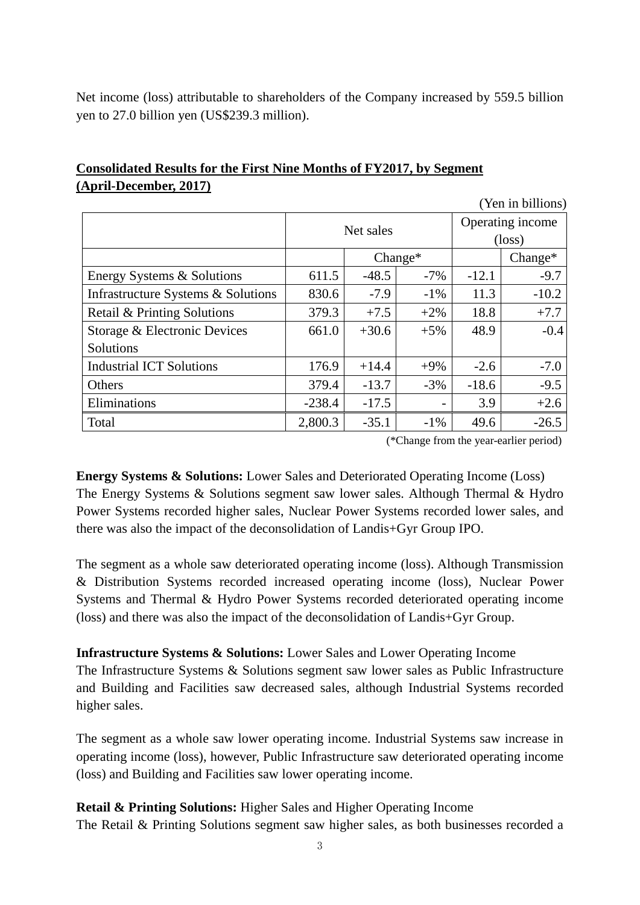Net income (loss) attributable to shareholders of the Company increased by 559.5 billion yen to 27.0 billion yen (US\$239.3 million).

| <b>TAIL III OIIIIOII</b> D         |           |         |           |                                     |           |  |
|------------------------------------|-----------|---------|-----------|-------------------------------------|-----------|--|
|                                    | Net sales |         |           | Operating income<br>$(\text{loss})$ |           |  |
|                                    |           |         | $Change*$ |                                     | $Change*$ |  |
|                                    |           |         |           |                                     |           |  |
| Energy Systems & Solutions         | 611.5     | $-48.5$ | $-7%$     | $-12.1$                             | $-9.7$    |  |
| Infrastructure Systems & Solutions | 830.6     | $-7.9$  | $-1\%$    | 11.3                                | $-10.2$   |  |
| Retail & Printing Solutions        | 379.3     | $+7.5$  | $+2\%$    | 18.8                                | $+7.7$    |  |
| Storage & Electronic Devices       | 661.0     | $+30.6$ | $+5%$     | 48.9                                | $-0.4$    |  |
| Solutions                          |           |         |           |                                     |           |  |
| <b>Industrial ICT Solutions</b>    | 176.9     | $+14.4$ | $+9%$     | $-2.6$                              | $-7.0$    |  |
| Others                             | 379.4     | $-13.7$ | $-3%$     | $-18.6$                             | $-9.5$    |  |
| Eliminations                       | $-238.4$  | $-17.5$ |           | 3.9                                 | $+2.6$    |  |
| Total                              | 2,800.3   | $-35.1$ | $-1\%$    | 49.6                                | $-26.5$   |  |

### **Consolidated Results for the First Nine Months of FY2017, by Segment (April-December, 2017)**

(\*Change from the year-earlier period)

(Yen in billions)

**Energy Systems & Solutions:** Lower Sales and Deteriorated Operating Income (Loss) The Energy Systems & Solutions segment saw lower sales. Although Thermal & Hydro Power Systems recorded higher sales, Nuclear Power Systems recorded lower sales, and there was also the impact of the deconsolidation of Landis+Gyr Group IPO.

The segment as a whole saw deteriorated operating income (loss). Although Transmission & Distribution Systems recorded increased operating income (loss), Nuclear Power Systems and Thermal & Hydro Power Systems recorded deteriorated operating income (loss) and there was also the impact of the deconsolidation of Landis+Gyr Group.

**Infrastructure Systems & Solutions:** Lower Sales and Lower Operating Income

The Infrastructure Systems & Solutions segment saw lower sales as Public Infrastructure and Building and Facilities saw decreased sales, although Industrial Systems recorded higher sales.

The segment as a whole saw lower operating income. Industrial Systems saw increase in operating income (loss), however, Public Infrastructure saw deteriorated operating income (loss) and Building and Facilities saw lower operating income.

#### **Retail & Printing Solutions:** Higher Sales and Higher Operating Income

The Retail & Printing Solutions segment saw higher sales, as both businesses recorded a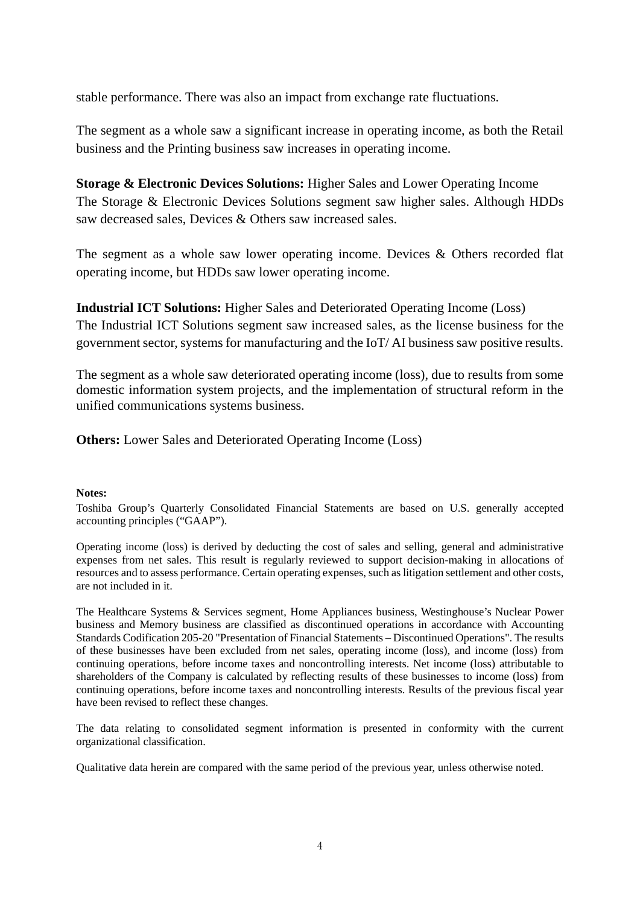stable performance. There was also an impact from exchange rate fluctuations.

The segment as a whole saw a significant increase in operating income, as both the Retail business and the Printing business saw increases in operating income.

**Storage & Electronic Devices Solutions:** Higher Sales and Lower Operating Income The Storage & Electronic Devices Solutions segment saw higher sales. Although HDDs saw decreased sales, Devices & Others saw increased sales.

The segment as a whole saw lower operating income. Devices & Others recorded flat operating income, but HDDs saw lower operating income.

**Industrial ICT Solutions:** Higher Sales and Deteriorated Operating Income (Loss)

The Industrial ICT Solutions segment saw increased sales, as the license business for the government sector, systems for manufacturing and the IoT/ AI business saw positive results.

The segment as a whole saw deteriorated operating income (loss), due to results from some domestic information system projects, and the implementation of structural reform in the unified communications systems business.

**Others:** Lower Sales and Deteriorated Operating Income (Loss)

#### **Notes:**

Toshiba Group's Quarterly Consolidated Financial Statements are based on U.S. generally accepted accounting principles ("GAAP").

Operating income (loss) is derived by deducting the cost of sales and selling, general and administrative expenses from net sales. This result is regularly reviewed to support decision-making in allocations of resources and to assess performance. Certain operating expenses, such as litigation settlement and other costs, are not included in it.

The Healthcare Systems & Services segment, Home Appliances business, Westinghouse's Nuclear Power business and Memory business are classified as discontinued operations in accordance with Accounting Standards Codification 205-20 "Presentation of Financial Statements – Discontinued Operations". The results of these businesses have been excluded from net sales, operating income (loss), and income (loss) from continuing operations, before income taxes and noncontrolling interests. Net income (loss) attributable to shareholders of the Company is calculated by reflecting results of these businesses to income (loss) from continuing operations, before income taxes and noncontrolling interests. Results of the previous fiscal year have been revised to reflect these changes.

The data relating to consolidated segment information is presented in conformity with the current organizational classification.

Qualitative data herein are compared with the same period of the previous year, unless otherwise noted.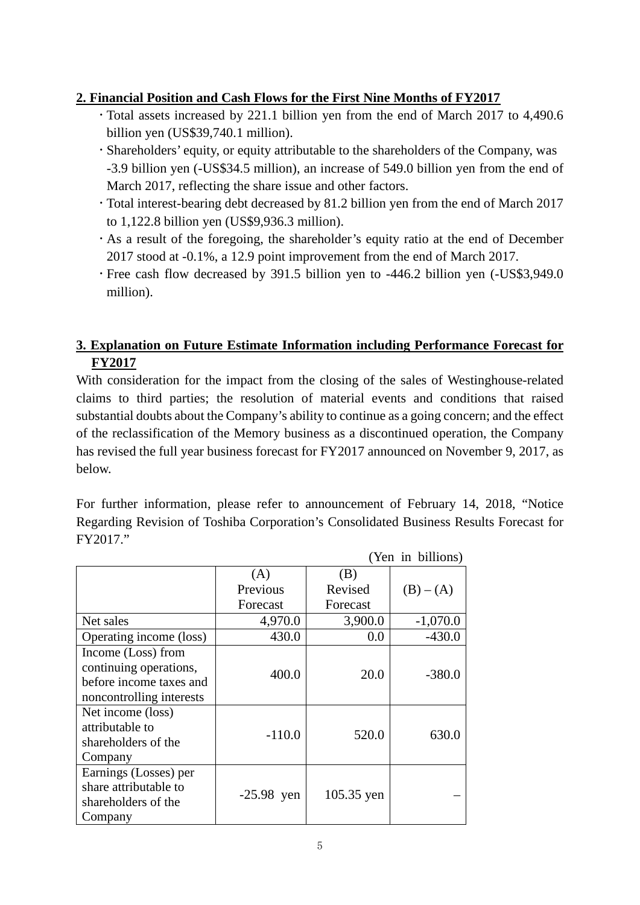### **2. Financial Position and Cash Flows for the First Nine Months of FY2017**

- Total assets increased by 221.1 billion yen from the end of March 2017 to 4,490.6 billion yen (US\$39,740.1 million).
- Shareholders' equity, or equity attributable to the shareholders of the Company, was -3.9 billion yen (-US\$34.5 million), an increase of 549.0 billion yen from the end of March 2017, reflecting the share issue and other factors.
- Total interest-bearing debt decreased by 81.2 billion yen from the end of March 2017 to 1,122.8 billion yen (US\$9,936.3 million).
- As a result of the foregoing, the shareholder's equity ratio at the end of December 2017 stood at -0.1%, a 12.9 point improvement from the end of March 2017.
- Free cash flow decreased by 391.5 billion yen to -446.2 billion yen (-US\$3,949.0 million).

### **3. Explanation on Future Estimate Information including Performance Forecast for FY2017**

With consideration for the impact from the closing of the sales of Westinghouse-related claims to third parties; the resolution of material events and conditions that raised substantial doubts about the Company's ability to continue as a going concern; and the effect of the reclassification of the Memory business as a discontinued operation, the Company has revised the full year business forecast for FY2017 announced on November 9, 2017, as below.

For further information, please refer to announcement of February 14, 2018, "Notice Regarding Revision of Toshiba Corporation's Consolidated Business Results Forecast for FY2017."

 $(\sqrt{3} \times 1)$  in billions)

|                                                                                                     |              |            | ren in billions) |
|-----------------------------------------------------------------------------------------------------|--------------|------------|------------------|
|                                                                                                     | (A)          | (B)        |                  |
|                                                                                                     | Previous     | Revised    | $(B) - (A)$      |
|                                                                                                     | Forecast     | Forecast   |                  |
| Net sales                                                                                           | 4,970.0      | 3,900.0    | $-1,070.0$       |
| Operating income (loss)                                                                             | 430.0        | 0.0        | $-430.0$         |
| Income (Loss) from<br>continuing operations,<br>before income taxes and<br>noncontrolling interests | 400.0        | 20.0       | $-380.0$         |
| Net income (loss)<br>attributable to<br>shareholders of the<br>Company                              | $-110.0$     | 520.0      | 630.0            |
| Earnings (Losses) per<br>share attributable to<br>shareholders of the<br>Company                    | $-25.98$ yen | 105.35 yen |                  |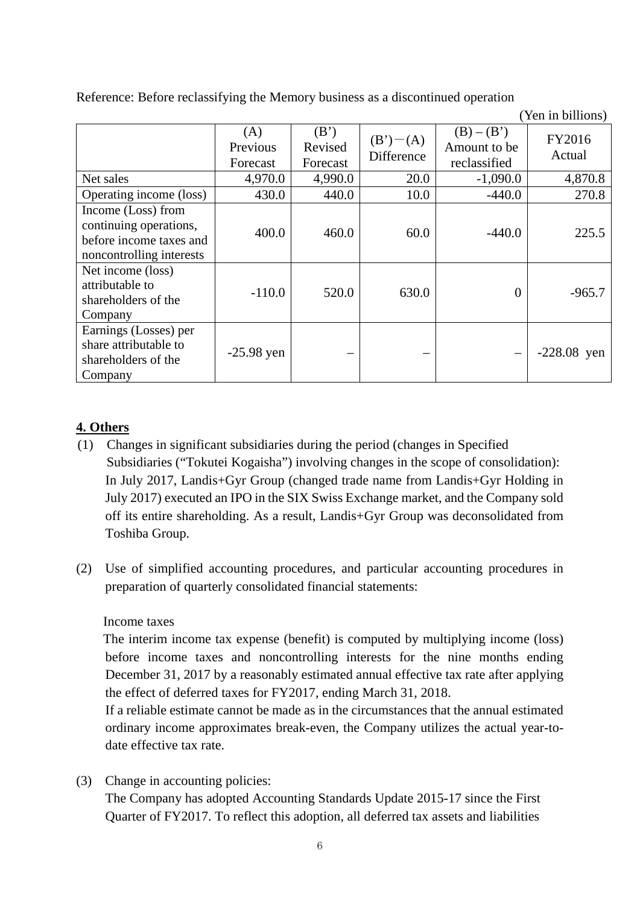Reference: Before reclassifying the Memory business as a discontinued operation

|                                                                                                     |                             |                             |                          |                                              | TVII III UIIIIUIID |
|-----------------------------------------------------------------------------------------------------|-----------------------------|-----------------------------|--------------------------|----------------------------------------------|--------------------|
|                                                                                                     | (A)<br>Previous<br>Forecast | (B')<br>Revised<br>Forecast | $(B')-(A)$<br>Difference | $(B) - (B')$<br>Amount to be<br>reclassified | FY2016<br>Actual   |
| Net sales                                                                                           | 4,970.0                     | 4,990.0                     | 20.0                     | $-1,090.0$                                   | 4,870.8            |
| Operating income (loss)                                                                             | 430.0                       | 440.0                       | 10.0                     | $-440.0$                                     | 270.8              |
| Income (Loss) from<br>continuing operations,<br>before income taxes and<br>noncontrolling interests | 400.0                       | 460.0                       | 60.0                     | $-440.0$                                     | 225.5              |
| Net income (loss)<br>attributable to<br>shareholders of the<br>Company                              | $-110.0$                    | 520.0                       | 630.0                    | $\theta$                                     | $-965.7$           |
| Earnings (Losses) per<br>share attributable to<br>shareholders of the<br>Company                    | $-25.98$ yen                |                             |                          |                                              | $-228.08$ yen      |

(Yen in billions)

### **4. Others**

- (1) Changes in significant subsidiaries during the period (changes in Specified Subsidiaries ("Tokutei Kogaisha") involving changes in the scope of consolidation): In July 2017, Landis+Gyr Group (changed trade name from Landis+Gyr Holding in July 2017) executed an IPO in the SIX Swiss Exchange market, and the Company sold off its entire shareholding. As a result, Landis+Gyr Group was deconsolidated from Toshiba Group.
- (2) Use of simplified accounting procedures, and particular accounting procedures in preparation of quarterly consolidated financial statements:

#### Income taxes

The interim income tax expense (benefit) is computed by multiplying income (loss) before income taxes and noncontrolling interests for the nine months ending December 31, 2017 by a reasonably estimated annual effective tax rate after applying the effect of deferred taxes for FY2017, ending March 31, 2018.

If a reliable estimate cannot be made as in the circumstances that the annual estimated ordinary income approximates break-even, the Company utilizes the actual year-todate effective tax rate.

(3) Change in accounting policies:

The Company has adopted Accounting Standards Update 2015-17 since the First Quarter of FY2017. To reflect this adoption, all deferred tax assets and liabilities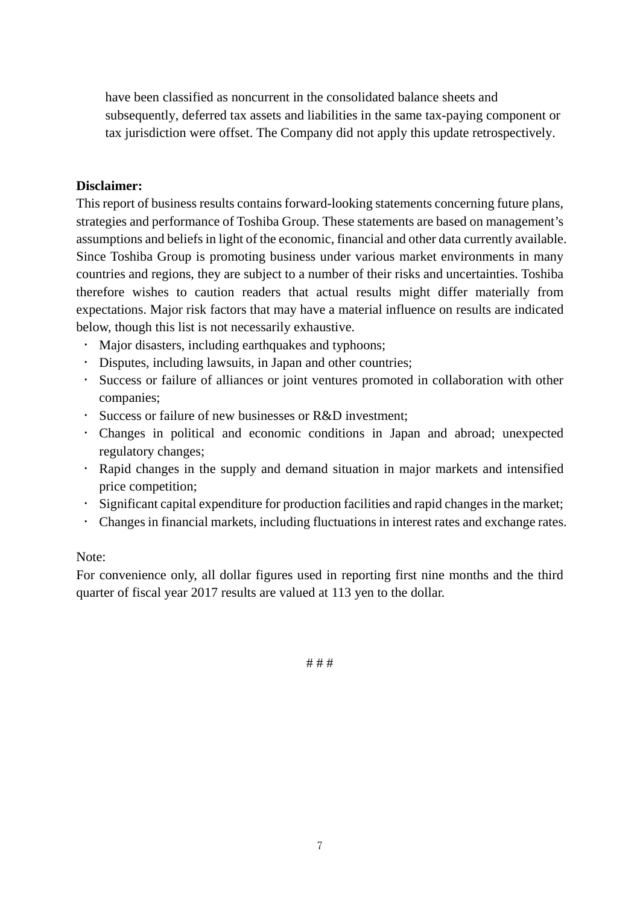have been classified as noncurrent in the consolidated balance sheets and subsequently, deferred tax assets and liabilities in the same tax-paying component or tax jurisdiction were offset. The Company did not apply this update retrospectively.

#### **Disclaimer:**

This report of business results contains forward-looking statements concerning future plans, strategies and performance of Toshiba Group. These statements are based on management's assumptions and beliefs in light of the economic, financial and other data currently available. Since Toshiba Group is promoting business under various market environments in many countries and regions, they are subject to a number of their risks and uncertainties. Toshiba therefore wishes to caution readers that actual results might differ materially from expectations. Major risk factors that may have a material influence on results are indicated below, though this list is not necessarily exhaustive.

- Major disasters, including earthquakes and typhoons;
- Disputes, including lawsuits, in Japan and other countries;
- Success or failure of alliances or joint ventures promoted in collaboration with other companies;
- Success or failure of new businesses or R&D investment;
- Changes in political and economic conditions in Japan and abroad; unexpected regulatory changes;
- Rapid changes in the supply and demand situation in major markets and intensified price competition;
- Significant capital expenditure for production facilities and rapid changes in the market;
- Changes in financial markets, including fluctuations in interest rates and exchange rates.

#### Note:

For convenience only, all dollar figures used in reporting first nine months and the third quarter of fiscal year 2017 results are valued at 113 yen to the dollar.

# # #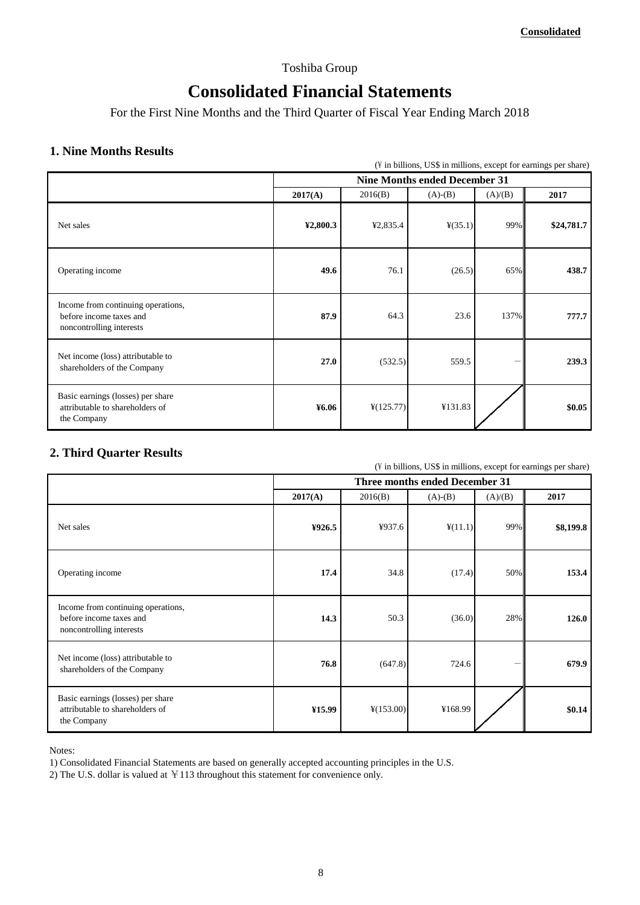#### Toshiba Group

## **Consolidated Financial Statements**

For the First Nine Months and the Third Quarter of Fiscal Year Ending March 2018

# **1. Nine Months Results** 113 **121 <b>113 121 121 121 121 121 121 121 121 121 121 121 121 121 121 121 121 121 121 121 121 121 121 121 121 121 121 121 121 121 121 1**

|                                                                                           |          |                       | (\#\ in billions, US\$ in millions, except for earnings per share) |         |            |
|-------------------------------------------------------------------------------------------|----------|-----------------------|--------------------------------------------------------------------|---------|------------|
|                                                                                           |          |                       | <b>Nine Months ended December 31</b>                               |         |            |
|                                                                                           | 2017(A)  | 2016(B)               | $(A)-(B)$                                                          | (A)/(B) | 2017       |
| Net sales                                                                                 | ¥2,800.3 | ¥2,835.4              | $\frac{4}{35.1}$                                                   | 99%     | \$24,781.7 |
| Operating income                                                                          | 49.6     | 76.1                  | (26.5)                                                             | 65%     | 438.7      |
| Income from continuing operations,<br>before income taxes and<br>noncontrolling interests | 87.9     | 64.3                  | 23.6                                                               | 137%    | 777.7      |
| Net income (loss) attributable to<br>shareholders of the Company                          | 27.0     | (532.5)               | 559.5                                                              |         | 239.3      |
| Basic earnings (losses) per share<br>attributable to shareholders of<br>the Company       | ¥6.06    | $\frac{1}{2}(125.77)$ | ¥131.83                                                            |         | \$0.05     |

#### **2. Third Quarter Results**

 $(\frac{1}{2})$  in billions, US\$ in millions, except for earnings per share)

|                                                                                           | <b>Three months ended December 31</b> |                       |                  |         |           |  |
|-------------------------------------------------------------------------------------------|---------------------------------------|-----------------------|------------------|---------|-----------|--|
|                                                                                           | 2017(A)                               | 2016(B)               | $(A)-(B)$        | (A)/(B) | 2017      |  |
| Net sales                                                                                 | ¥926.5                                | ¥937.6                | $\frac{4}{11.1}$ | 99%     | \$8,199.8 |  |
| Operating income                                                                          | 17.4                                  | 34.8                  | (17.4)           | 50%     | 153.4     |  |
| Income from continuing operations,<br>before income taxes and<br>noncontrolling interests | 14.3                                  | 50.3                  | (36.0)           | 28%     | 126.0     |  |
| Net income (loss) attributable to<br>shareholders of the Company                          | 76.8                                  | (647.8)               | 724.6            |         | 679.9     |  |
| Basic earnings (losses) per share<br>attributable to shareholders of<br>the Company       | ¥15.99                                | $\frac{1}{2}(153.00)$ | ¥168.99          |         | \$0.14    |  |

Notes:

1) Consolidated Financial Statements are based on generally accepted accounting principles in the U.S.

2) The U.S. dollar is valued at  $\text{\yen}113$  throughout this statement for convenience only.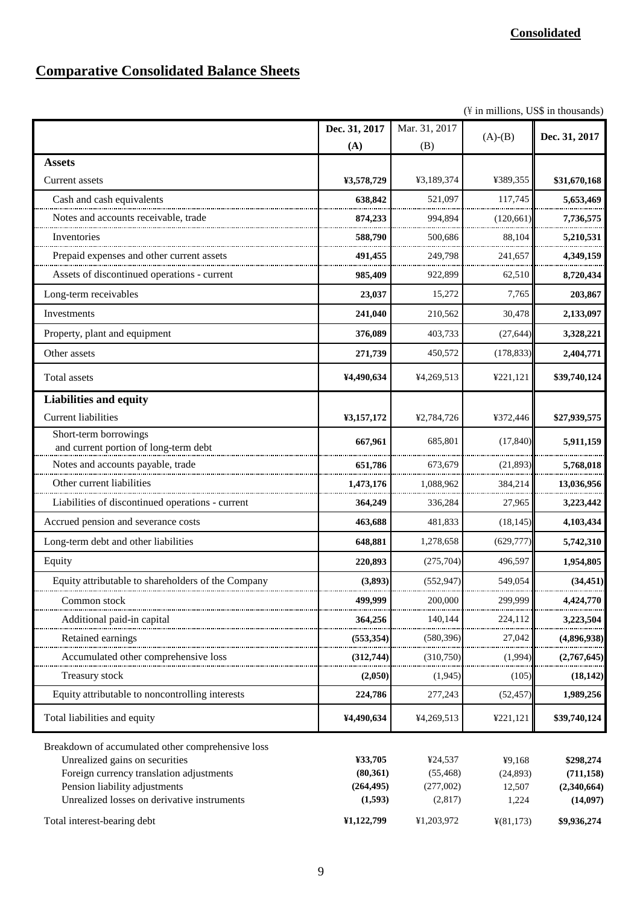# **Comparative Consolidated Balance Sheets**

 $(\frac{y}{x})$  in millions, US\$ in thousands)

|                                                                                                                                                                                                                 | Dec. 31, 2017<br>(A)                          | Mar. 31, 2017<br>(B)                         | $(A)-(B)$                             | Dec. 31, 2017                                      |
|-----------------------------------------------------------------------------------------------------------------------------------------------------------------------------------------------------------------|-----------------------------------------------|----------------------------------------------|---------------------------------------|----------------------------------------------------|
| <b>Assets</b>                                                                                                                                                                                                   |                                               |                                              |                                       |                                                    |
| <b>Current</b> assets                                                                                                                                                                                           | ¥3,578,729                                    | ¥3,189,374                                   | ¥389,355                              | \$31,670,168                                       |
| Cash and cash equivalents                                                                                                                                                                                       | 638,842                                       | 521,097                                      | 117,745                               | 5,653,469                                          |
| Notes and accounts receivable, trade                                                                                                                                                                            | 874,233                                       | 994,894                                      | (120, 661)                            | 7,736,575                                          |
| Inventories                                                                                                                                                                                                     | 588,790                                       | 500,686                                      | 88,104                                | 5,210,531                                          |
| Prepaid expenses and other current assets                                                                                                                                                                       | 491,455                                       | 249,798                                      | 241,657                               | 4,349,159                                          |
| Assets of discontinued operations - current                                                                                                                                                                     | 985,409                                       | 922,899                                      | 62,510                                | 8,720,434                                          |
| Long-term receivables                                                                                                                                                                                           | 23,037                                        | 15,272                                       | 7,765                                 | 203,867                                            |
| Investments                                                                                                                                                                                                     | 241,040                                       | 210,562                                      | 30,478                                | 2,133,097                                          |
| Property, plant and equipment                                                                                                                                                                                   | 376,089                                       | 403,733                                      | (27, 644)                             | 3,328,221                                          |
| Other assets                                                                                                                                                                                                    | 271,739                                       | 450,572                                      | (178, 833)                            | 2,404,771                                          |
| Total assets                                                                                                                                                                                                    | ¥4,490,634                                    | ¥4,269,513                                   | ¥221,121                              | \$39,740,124                                       |
| <b>Liabilities and equity</b>                                                                                                                                                                                   |                                               |                                              |                                       |                                                    |
| <b>Current liabilities</b>                                                                                                                                                                                      | ¥3,157,172                                    | ¥2,784,726                                   | ¥372,446                              | \$27,939,575                                       |
| Short-term borrowings<br>and current portion of long-term debt                                                                                                                                                  | 667,961                                       | 685,801                                      | (17, 840)                             | 5,911,159                                          |
| Notes and accounts payable, trade                                                                                                                                                                               | 651,786                                       | 673,679                                      | (21, 893)                             | 5,768,018                                          |
| Other current liabilities                                                                                                                                                                                       | 1,473,176                                     | 1,088,962                                    | 384,214                               | 13,036,956                                         |
| Liabilities of discontinued operations - current                                                                                                                                                                | 364,249                                       | 336,284                                      | 27,965                                | 3,223,442                                          |
| Accrued pension and severance costs                                                                                                                                                                             | 463,688                                       | 481,833                                      | (18, 145)                             | 4,103,434                                          |
| Long-term debt and other liabilities                                                                                                                                                                            | 648,881                                       | 1,278,658                                    | (629, 777)                            | 5,742,310                                          |
| Equity                                                                                                                                                                                                          | 220,893                                       | (275,704)                                    | 496,597                               | 1,954,805                                          |
| Equity attributable to shareholders of the Company                                                                                                                                                              | (3,893)                                       | (552, 947)                                   | 549,054                               | (34, 451)                                          |
| Common stock                                                                                                                                                                                                    | 499,999                                       | 200,000                                      | 299,999                               | 4,424,770                                          |
| Additional paid-in capital                                                                                                                                                                                      | 364,256                                       | 140,144                                      | 224,112                               | 3,223,504                                          |
| Retained earnings                                                                                                                                                                                               | (553, 354)                                    | (580, 396)                                   | 27.042                                | (4,896,938)                                        |
| Accumulated other comprehensive loss                                                                                                                                                                            | (312,744)                                     | (310,750)                                    | (1,994)                               | (2,767,645)                                        |
| Treasury stock                                                                                                                                                                                                  | (2,050)                                       | (1,945)                                      | (105)                                 | (18, 142)                                          |
| Equity attributable to noncontrolling interests                                                                                                                                                                 | 224,786                                       | 277,243                                      | (52, 457)                             | 1,989,256                                          |
| Total liabilities and equity                                                                                                                                                                                    | ¥4,490,634                                    | ¥4,269,513                                   | ¥221,121                              | \$39,740,124                                       |
| Breakdown of accumulated other comprehensive loss<br>Unrealized gains on securities<br>Foreign currency translation adjustments<br>Pension liability adjustments<br>Unrealized losses on derivative instruments | ¥33,705<br>(80, 361)<br>(264, 495)<br>(1,593) | ¥24,537<br>(55, 468)<br>(277,002)<br>(2,817) | ¥9,168<br>(24,893)<br>12,507<br>1,224 | \$298,274<br>(711, 158)<br>(2,340,664)<br>(14,097) |
| Total interest-bearing debt                                                                                                                                                                                     | ¥1,122,799                                    | ¥1,203,972                                   | ¥(81,173)                             | \$9,936,274                                        |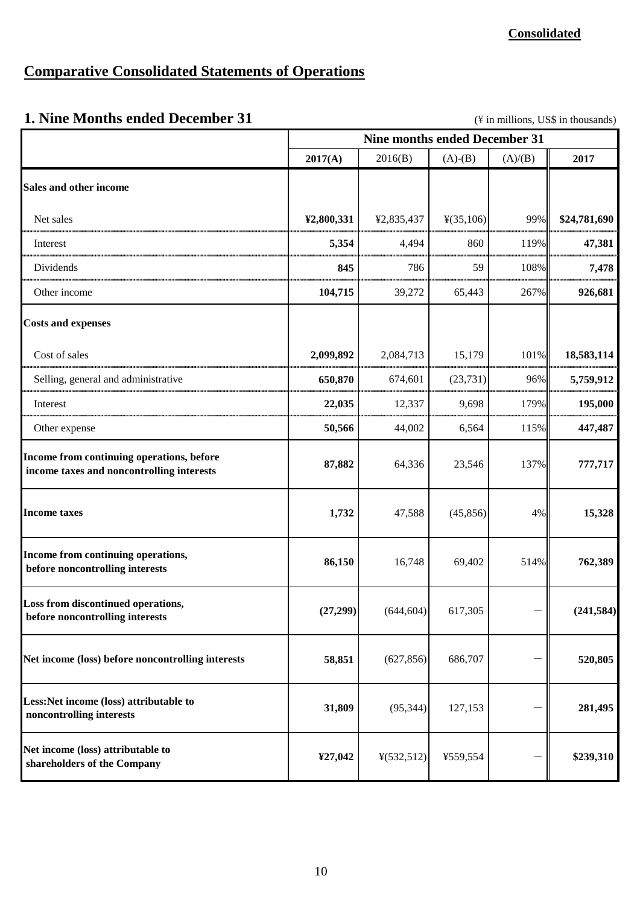## **Comparative Consolidated Statements of Operations**

## **1. Nine Months ended December 31** (\Natural distributions, US\$ in thousands)

|                                                                                        | <b>Nine months ended December 31</b> |            |                       |         |              |  |
|----------------------------------------------------------------------------------------|--------------------------------------|------------|-----------------------|---------|--------------|--|
|                                                                                        | 2017(A)                              | 2016(B)    | $(A)-(B)$             | (A)/(B) | 2017         |  |
| Sales and other income                                                                 |                                      |            |                       |         |              |  |
| Net sales                                                                              | ¥2,800,331                           | ¥2,835,437 | $\frac{1}{2}(35,106)$ | 99%     | \$24,781,690 |  |
| Interest                                                                               | 5,354                                | 4,494      | 860                   | 119%    | 47,381       |  |
| Dividends                                                                              | 845                                  | 786        | 59                    | 108%    | 7,478        |  |
| Other income                                                                           | 104,715                              | 39,272     | 65,443                | 267%    | 926,681      |  |
| <b>Costs and expenses</b>                                                              |                                      |            |                       |         |              |  |
| Cost of sales                                                                          | 2,099,892                            | 2,084,713  | 15,179                | 101%    | 18,583,114   |  |
| Selling, general and administrative                                                    | 650,870                              | 674,601    | (23, 731)             | 96%     | 5,759,912    |  |
| Interest                                                                               | 22,035                               | 12,337     | 9,698                 | 179%    | 195,000      |  |
| Other expense                                                                          | 50,566                               | 44,002     | 6,564                 | 115%    | 447,487      |  |
| Income from continuing operations, before<br>income taxes and noncontrolling interests | 87,882                               | 64,336     | 23,546                | 137%    | 777,717      |  |
| <b>Income taxes</b>                                                                    | 1,732                                | 47,588     | (45, 856)             | 4%      | 15,328       |  |
| Income from continuing operations,<br>before noncontrolling interests                  | 86,150                               | 16,748     | 69,402                | 514%    | 762,389      |  |
| Loss from discontinued operations,<br>before noncontrolling interests                  | (27,299)                             | (644, 604) | 617,305               |         | (241, 584)   |  |
| Net income (loss) before noncontrolling interests                                      | 58,851                               | (627, 856) | 686,707               |         | 520,805      |  |
| Less: Net income (loss) attributable to<br>noncontrolling interests                    | 31,809                               | (95, 344)  | 127,153               |         | 281,495      |  |
| Net income (loss) attributable to<br>shareholders of the Company                       | ¥27,042                              | ¥(532,512) | ¥559,554              |         | \$239,310    |  |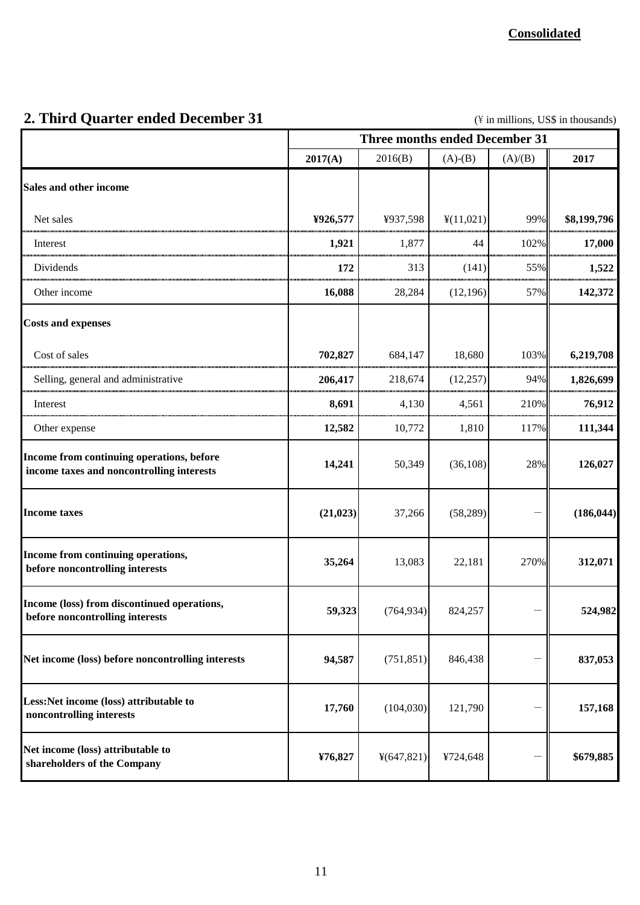# **2. Third Quarter ended December 31** (\Natural \text{ in millions, US\$ in thousands)

|                                                                                        | <b>Three months ended December 31</b> |             |           |         |             |  |
|----------------------------------------------------------------------------------------|---------------------------------------|-------------|-----------|---------|-------------|--|
|                                                                                        | 2017(A)                               | 2016(B)     | $(A)-(B)$ | (A)/(B) | 2017        |  |
| Sales and other income                                                                 |                                       |             |           |         |             |  |
| Net sales                                                                              | ¥926,577                              | ¥937,598    | ¥(11,021) | 99%     | \$8,199,796 |  |
| Interest                                                                               | 1,921                                 | 1,877       | 44        | 102%    | 17,000      |  |
| Dividends                                                                              | 172                                   | 313         | (141)     | 55%     | 1,522       |  |
| Other income                                                                           | 16,088                                | 28,284      | (12, 196) | 57%     | 142,372     |  |
| <b>Costs and expenses</b>                                                              |                                       |             |           |         |             |  |
| Cost of sales                                                                          | 702,827                               | 684,147     | 18,680    | 103%    | 6,219,708   |  |
| Selling, general and administrative                                                    | 206,417                               | 218,674     | (12, 257) | 94%     | 1,826,699   |  |
| Interest                                                                               | 8,691                                 | 4,130       | 4,561     | 210%    | 76,912      |  |
| Other expense                                                                          | 12,582                                | 10,772      | 1,810     | 117%    | 111,344     |  |
| Income from continuing operations, before<br>income taxes and noncontrolling interests | 14,241                                | 50,349      | (36, 108) | 28%     | 126,027     |  |
| <b>Income taxes</b>                                                                    | (21, 023)                             | 37,266      | (58, 289) |         | (186, 044)  |  |
| Income from continuing operations,<br>before noncontrolling interests                  | 35,264                                | 13,083      | 22,181    | 270%    | 312,071     |  |
| Income (loss) from discontinued operations,<br>before noncontrolling interests         | 59,323                                | (764, 934)  | 824,257   |         | 524,982     |  |
| Net income (loss) before noncontrolling interests                                      | 94,587                                | (751, 851)  | 846,438   |         | 837,053     |  |
| Less:Net income (loss) attributable to<br>noncontrolling interests                     | 17,760                                | (104, 030)  | 121,790   |         | 157,168     |  |
| Net income (loss) attributable to<br>shareholders of the Company                       | ¥76,827                               | 4(647, 821) | ¥724,648  |         | \$679,885   |  |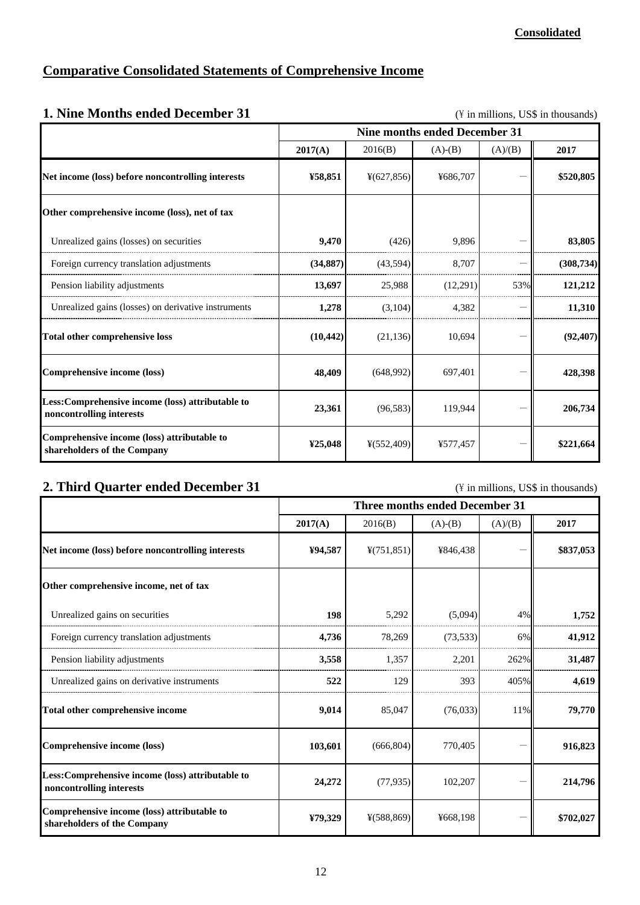## **Comparative Consolidated Statements of Comprehensive Income**

| 1. Nine Months ended December 31<br>(\in millions, US\$ in thousands)         |                                      |                         |           |         |            |  |  |
|-------------------------------------------------------------------------------|--------------------------------------|-------------------------|-----------|---------|------------|--|--|
|                                                                               | <b>Nine months ended December 31</b> |                         |           |         |            |  |  |
|                                                                               | 2017(A)                              | 2016(B)                 | $(A)-(B)$ | (A)/(B) | 2017       |  |  |
| Net income (loss) before noncontrolling interests                             | ¥58,851                              | $*(627, 856)$           | ¥686,707  |         | \$520,805  |  |  |
| Other comprehensive income (loss), net of tax                                 |                                      |                         |           |         |            |  |  |
| Unrealized gains (losses) on securities                                       | 9,470                                | (426)                   | 9,896     |         | 83,805     |  |  |
| Foreign currency translation adjustments                                      | (34, 887)                            | (43.594)                | 8.707     |         | (308, 734) |  |  |
| Pension liability adjustments                                                 | 13,697                               | 25,988                  | (12,291)  | 53%     | 121,212    |  |  |
| Unrealized gains (losses) on derivative instruments                           | 1,278                                | (3,104)                 | 4,382     |         | 11,310     |  |  |
| <b>Total other comprehensive loss</b>                                         | (10, 442)                            | (21, 136)               | 10,694    |         | (92, 407)  |  |  |
| Comprehensive income (loss)                                                   | 48,409                               | (648,992)               | 697,401   |         | 428,398    |  |  |
| Less: Comprehensive income (loss) attributable to<br>noncontrolling interests | 23,361                               | (96, 583)               | 119,944   |         | 206,734    |  |  |
| Comprehensive income (loss) attributable to<br>shareholders of the Company    | ¥25,048                              | $\frac{1}{2}$ (552,409) | ¥577,457  |         | \$221,664  |  |  |

#### **2. Third Quarter ended December 31** (\ftdtta in millions, US\$ in thousands)

|                                                                               | <b>Three months ended December 31</b> |                         |           |         |           |  |
|-------------------------------------------------------------------------------|---------------------------------------|-------------------------|-----------|---------|-----------|--|
|                                                                               | 2017(A)                               | 2016(B)                 | $(A)-(B)$ | (A)/(B) | 2017      |  |
| Net income (loss) before noncontrolling interests                             | ¥94,587                               | $\frac{4}{751,851}$     | ¥846,438  |         | \$837,053 |  |
| Other comprehensive income, net of tax                                        |                                       |                         |           |         |           |  |
| Unrealized gains on securities                                                | 198                                   | 5,292                   | (5,094)   | 4%      | 1,752     |  |
| Foreign currency translation adjustments                                      | 4,736                                 | 78,269                  | (73, 533) | 6%      | 41,912    |  |
| Pension liability adjustments                                                 | 3,558                                 | 1,357                   | 2,201     | 262%    | 31,487    |  |
| Unrealized gains on derivative instruments                                    | 522                                   | 129                     | 393       | 405%    | 4.619     |  |
| Total other comprehensive income                                              | 9,014                                 | 85,047                  | (76,033)  | 11%     | 79,770    |  |
| Comprehensive income (loss)                                                   | 103,601                               | (666, 804)              | 770,405   |         | 916,823   |  |
| Less: Comprehensive income (loss) attributable to<br>noncontrolling interests | 24,272                                | (77, 935)               | 102,207   |         | 214,796   |  |
| Comprehensive income (loss) attributable to<br>shareholders of the Company    | ¥79,329                               | $\frac{1}{2}$ (588,869) | ¥668,198  |         | \$702,027 |  |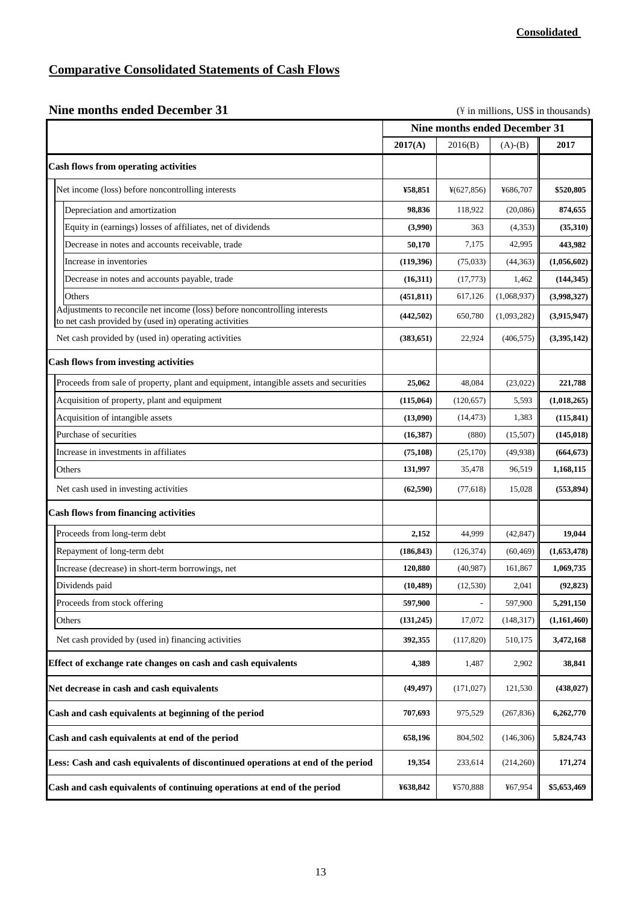## **Comparative Consolidated Statements of Cash Flows**

|  | <b>Nine months ended December 31</b> |
|--|--------------------------------------|
|  |                                      |

(\\pide in millions, US\$ in thousands)

|                                                                                                                                      | Nine months ended December 31 |            |             |             |
|--------------------------------------------------------------------------------------------------------------------------------------|-------------------------------|------------|-------------|-------------|
|                                                                                                                                      | 2017(A)                       | 2016(B)    | $(A)-(B)$   | 2017        |
| <b>Cash flows from operating activities</b>                                                                                          |                               |            |             |             |
| Net income (loss) before noncontrolling interests                                                                                    | ¥58,851                       | ¥(627,856) | ¥686,707    | \$520,805   |
| Depreciation and amortization                                                                                                        | 98,836                        | 118,922    | (20,086)    | 874,655     |
| Equity in (earnings) losses of affiliates, net of dividends                                                                          | (3,990)                       | 363        | (4,353)     | (35,310)    |
| Decrease in notes and accounts receivable, trade                                                                                     | 50,170                        | 7,175      | 42,995      | 443,982     |
| Increase in inventories                                                                                                              | (119,396)                     | (75, 033)  | (44, 363)   | (1,056,602) |
| Decrease in notes and accounts payable, trade                                                                                        | (16,311)                      | (17, 773)  | 1,462       | (144, 345)  |
| Others                                                                                                                               | (451, 811)                    | 617,126    | (1,068,937) | (3,998,327) |
| Adjustments to reconcile net income (loss) before noncontrolling interests<br>to net cash provided by (used in) operating activities | (442, 502)                    | 650,780    | (1,093,282) | (3,915,947) |
| Net cash provided by (used in) operating activities                                                                                  | (383, 651)                    | 22,924     | (406, 575)  | (3,395,142) |
| <b>Cash flows from investing activities</b>                                                                                          |                               |            |             |             |
| Proceeds from sale of property, plant and equipment, intangible assets and securities                                                | 25,062                        | 48,084     | (23,022)    | 221,788     |
| Acquisition of property, plant and equipment                                                                                         | (115,064)                     | (120, 657) | 5,593       | (1,018,265) |
| Acquisition of intangible assets                                                                                                     | (13,090)                      | (14, 473)  | 1,383       | (115, 841)  |
| Purchase of securities                                                                                                               | (16,387)                      | (880)      | (15,507)    | (145, 018)  |
| Increase in investments in affiliates                                                                                                | (75, 108)                     | (25, 170)  | (49, 938)   | (664, 673)  |
| Others                                                                                                                               | 131,997                       | 35,478     | 96,519      | 1,168,115   |
| Net cash used in investing activities                                                                                                | (62, 590)                     | (77, 618)  | 15,028      | (553, 894)  |
| <b>Cash flows from financing activities</b>                                                                                          |                               |            |             |             |
| Proceeds from long-term debt                                                                                                         | 2,152                         | 44,999     | (42, 847)   | 19,044      |
| Repayment of long-term debt                                                                                                          | (186, 843)                    | (126, 374) | (60, 469)   | (1,653,478) |
| Increase (decrease) in short-term borrowings, net                                                                                    | 120,880                       | (40, 987)  | 161,867     | 1,069,735   |
| Dividends paid                                                                                                                       | (10, 489)                     | (12, 530)  | 2,041       | (92, 823)   |
| Proceeds from stock offering                                                                                                         | 597,900                       |            | 597,900     | 5.291.150   |
| Others                                                                                                                               | (131,245)                     | 17,072     | (148, 317)  | (1,161,460) |
| Net cash provided by (used in) financing activities                                                                                  | 392,355                       | (117,820)  | 510,175     | 3,472,168   |
| Effect of exchange rate changes on cash and cash equivalents                                                                         | 4,389                         | 1,487      | 2,902       | 38,841      |
| Net decrease in cash and cash equivalents                                                                                            | (49, 497)                     | (171, 027) | 121,530     | (438, 027)  |
| Cash and cash equivalents at beginning of the period                                                                                 | 707,693                       | 975,529    | (267, 836)  | 6,262,770   |
| Cash and cash equivalents at end of the period                                                                                       | 658,196                       | 804,502    | (146,306)   | 5,824,743   |
| Less: Cash and cash equivalents of discontinued operations at end of the period                                                      | 19,354                        | 233,614    | (214,260)   | 171,274     |
| Cash and cash equivalents of continuing operations at end of the period                                                              | ¥638,842                      | ¥570,888   | ¥67,954     | \$5,653,469 |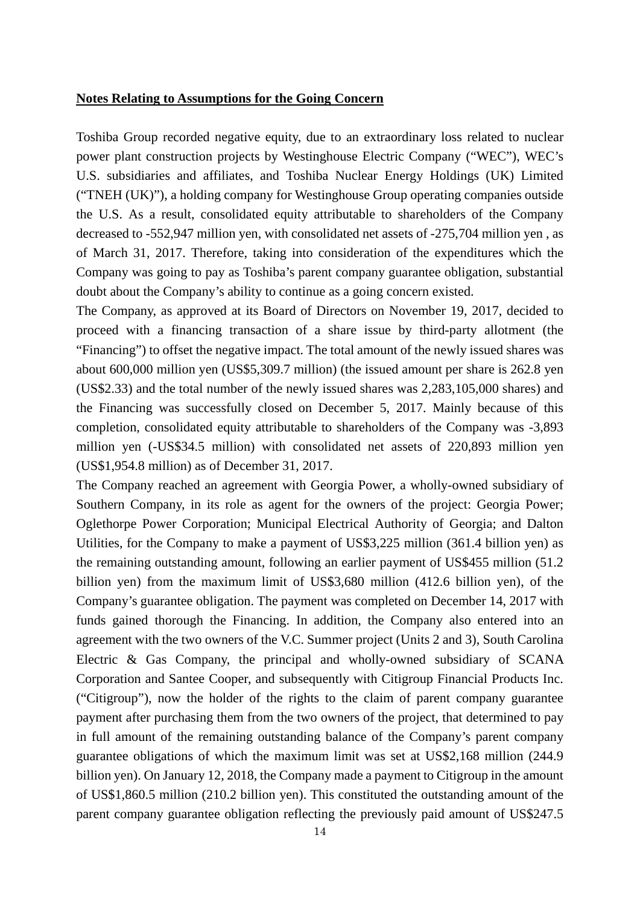#### **Notes Relating to Assumptions for the Going Concern**

Toshiba Group recorded negative equity, due to an extraordinary loss related to nuclear power plant construction projects by Westinghouse Electric Company ("WEC"), WEC's U.S. subsidiaries and affiliates, and Toshiba Nuclear Energy Holdings (UK) Limited ("TNEH (UK)"), a holding company for Westinghouse Group operating companies outside the U.S. As a result, consolidated equity attributable to shareholders of the Company decreased to -552,947 million yen, with consolidated net assets of -275,704 million yen , as of March 31, 2017. Therefore, taking into consideration of the expenditures which the Company was going to pay as Toshiba's parent company guarantee obligation, substantial doubt about the Company's ability to continue as a going concern existed.

The Company, as approved at its Board of Directors on November 19, 2017, decided to proceed with a financing transaction of a share issue by third-party allotment (the "Financing") to offset the negative impact. The total amount of the newly issued shares was about 600,000 million yen (US\$5,309.7 million) (the issued amount per share is 262.8 yen (US\$2.33) and the total number of the newly issued shares was 2,283,105,000 shares) and the Financing was successfully closed on December 5, 2017. Mainly because of this completion, consolidated equity attributable to shareholders of the Company was -3,893 million yen (-US\$34.5 million) with consolidated net assets of 220,893 million yen (US\$1,954.8 million) as of December 31, 2017.

The Company reached an agreement with Georgia Power, a wholly-owned subsidiary of Southern Company, in its role as agent for the owners of the project: Georgia Power; Oglethorpe Power Corporation; Municipal Electrical Authority of Georgia; and Dalton Utilities, for the Company to make a payment of US\$3,225 million (361.4 billion yen) as the remaining outstanding amount, following an earlier payment of US\$455 million (51.2 billion yen) from the maximum limit of US\$3,680 million (412.6 billion yen), of the Company's guarantee obligation. The payment was completed on December 14, 2017 with funds gained thorough the Financing. In addition, the Company also entered into an agreement with the two owners of the V.C. Summer project (Units 2 and 3), South Carolina Electric & Gas Company, the principal and wholly-owned subsidiary of SCANA Corporation and Santee Cooper, and subsequently with Citigroup Financial Products Inc. ("Citigroup"), now the holder of the rights to the claim of parent company guarantee payment after purchasing them from the two owners of the project, that determined to pay in full amount of the remaining outstanding balance of the Company's parent company guarantee obligations of which the maximum limit was set at US\$2,168 million (244.9 billion yen). On January 12, 2018, the Company made a payment to Citigroup in the amount of US\$1,860.5 million (210.2 billion yen). This constituted the outstanding amount of the parent company guarantee obligation reflecting the previously paid amount of US\$247.5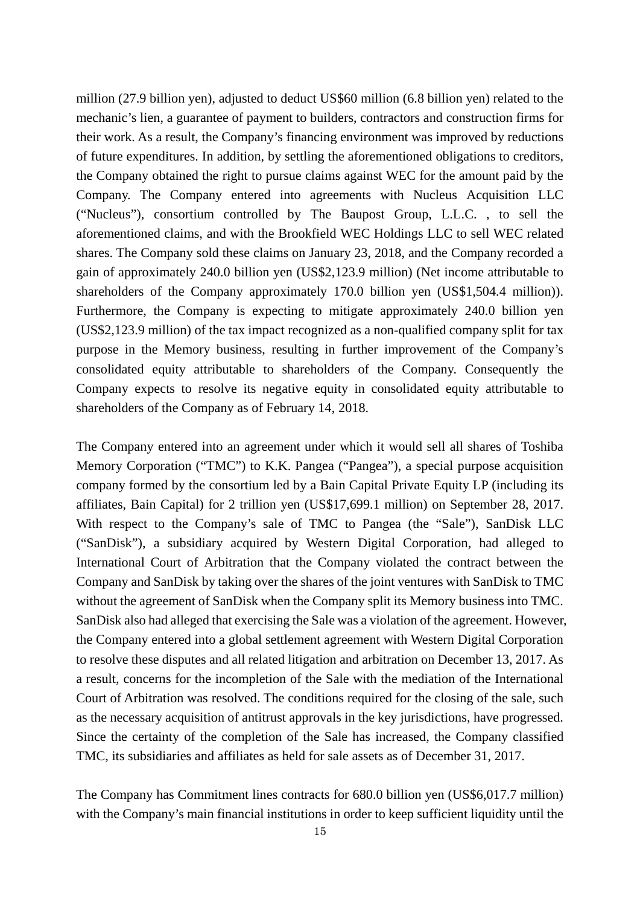million (27.9 billion yen), adjusted to deduct US\$60 million (6.8 billion yen) related to the mechanic's lien, a guarantee of payment to builders, contractors and construction firms for their work. As a result, the Company's financing environment was improved by reductions of future expenditures. In addition, by settling the aforementioned obligations to creditors, the Company obtained the right to pursue claims against WEC for the amount paid by the Company. The Company entered into agreements with Nucleus Acquisition LLC ("Nucleus"), consortium controlled by The Baupost Group, L.L.C. , to sell the aforementioned claims, and with the Brookfield WEC Holdings LLC to sell WEC related shares. The Company sold these claims on January 23, 2018, and the Company recorded a gain of approximately 240.0 billion yen (US\$2,123.9 million) (Net income attributable to shareholders of the Company approximately 170.0 billion yen (US\$1,504.4 million)). Furthermore, the Company is expecting to mitigate approximately 240.0 billion yen (US\$2,123.9 million) of the tax impact recognized as a non-qualified company split for tax purpose in the Memory business, resulting in further improvement of the Company's consolidated equity attributable to shareholders of the Company. Consequently the Company expects to resolve its negative equity in consolidated equity attributable to shareholders of the Company as of February 14, 2018.

The Company entered into an agreement under which it would sell all shares of Toshiba Memory Corporation ("TMC") to K.K. Pangea ("Pangea"), a special purpose acquisition company formed by the consortium led by a Bain Capital Private Equity LP (including its affiliates, Bain Capital) for 2 trillion yen (US\$17,699.1 million) on September 28, 2017. With respect to the Company's sale of TMC to Pangea (the "Sale"), SanDisk LLC ("SanDisk"), a subsidiary acquired by Western Digital Corporation, had alleged to International Court of Arbitration that the Company violated the contract between the Company and SanDisk by taking over the shares of the joint ventures with SanDisk to TMC without the agreement of SanDisk when the Company split its Memory business into TMC. SanDisk also had alleged that exercising the Sale was a violation of the agreement. However, the Company entered into a global settlement agreement with Western Digital Corporation to resolve these disputes and all related litigation and arbitration on December 13, 2017. As a result, concerns for the incompletion of the Sale with the mediation of the International Court of Arbitration was resolved. The conditions required for the closing of the sale, such as the necessary acquisition of antitrust approvals in the key jurisdictions, have progressed. Since the certainty of the completion of the Sale has increased, the Company classified TMC, its subsidiaries and affiliates as held for sale assets as of December 31, 2017.

The Company has Commitment lines contracts for 680.0 billion yen (US\$6,017.7 million) with the Company's main financial institutions in order to keep sufficient liquidity until the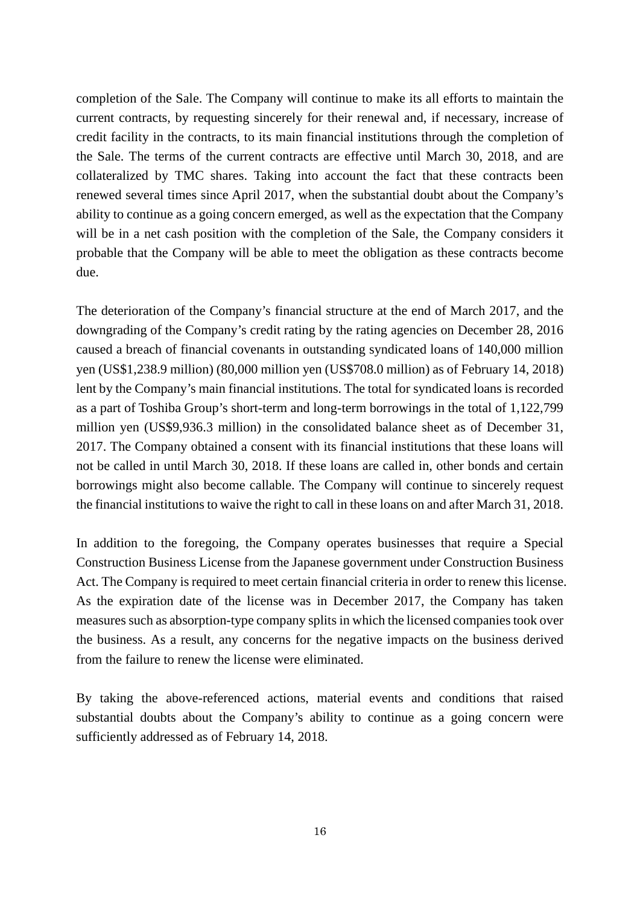completion of the Sale. The Company will continue to make its all efforts to maintain the current contracts, by requesting sincerely for their renewal and, if necessary, increase of credit facility in the contracts, to its main financial institutions through the completion of the Sale. The terms of the current contracts are effective until March 30, 2018, and are collateralized by TMC shares. Taking into account the fact that these contracts been renewed several times since April 2017, when the substantial doubt about the Company's ability to continue as a going concern emerged, as well as the expectation that the Company will be in a net cash position with the completion of the Sale, the Company considers it probable that the Company will be able to meet the obligation as these contracts become due.

The deterioration of the Company's financial structure at the end of March 2017, and the downgrading of the Company's credit rating by the rating agencies on December 28, 2016 caused a breach of financial covenants in outstanding syndicated loans of 140,000 million yen (US\$1,238.9 million) (80,000 million yen (US\$708.0 million) as of February 14, 2018) lent by the Company's main financial institutions. The total for syndicated loans is recorded as a part of Toshiba Group's short-term and long-term borrowings in the total of 1,122,799 million yen (US\$9,936.3 million) in the consolidated balance sheet as of December 31, 2017. The Company obtained a consent with its financial institutions that these loans will not be called in until March 30, 2018. If these loans are called in, other bonds and certain borrowings might also become callable. The Company will continue to sincerely request the financial institutions to waive the right to call in these loans on and after March 31, 2018.

In addition to the foregoing, the Company operates businesses that require a Special Construction Business License from the Japanese government under Construction Business Act. The Company is required to meet certain financial criteria in order to renew this license. As the expiration date of the license was in December 2017, the Company has taken measures such as absorption-type company splits in which the licensed companies took over the business. As a result, any concerns for the negative impacts on the business derived from the failure to renew the license were eliminated.

By taking the above-referenced actions, material events and conditions that raised substantial doubts about the Company's ability to continue as a going concern were sufficiently addressed as of February 14, 2018.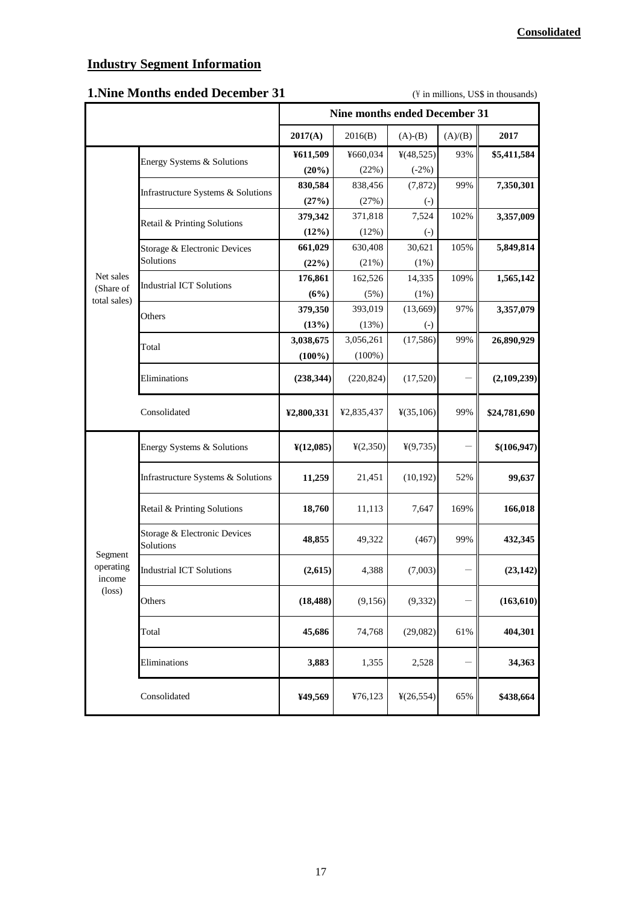### **Industry Segment Information**

### **1. Nine Months ended December 31** (\Natural in millions, US\$ in thousands)

|                                                   |                                           | <b>Nine months ended December 31</b> |                      |                        |         |              |
|---------------------------------------------------|-------------------------------------------|--------------------------------------|----------------------|------------------------|---------|--------------|
|                                                   |                                           | 2017(A)                              | 2016(B)              | $(A)-(B)$              | (A)/(B) | 2017         |
|                                                   | Energy Systems & Solutions                | ¥611,509                             | ¥660,034             | 4(48,525)              | 93%     | \$5,411,584  |
|                                                   |                                           | (20%)                                | (22%)                | $(-2%)$                |         |              |
|                                                   | Infrastructure Systems & Solutions        | 830,584                              | 838,456              | (7, 872)               | 99%     | 7,350,301    |
|                                                   |                                           | (27%)                                | (27%)                | $\left( \cdot \right)$ |         |              |
|                                                   | Retail & Printing Solutions               | 379,342                              | 371,818              | 7,524                  | 102%    | 3,357,009    |
|                                                   |                                           | (12%)                                | (12%)                | $\left( -\right)$      |         |              |
|                                                   | Storage & Electronic Devices              | 661,029                              | 630,408              | 30,621                 | 105%    | 5,849,814    |
|                                                   | Solutions                                 | (22%)                                | (21%)                | (1%)                   |         |              |
| Net sales                                         | <b>Industrial ICT Solutions</b>           | 176,861                              | 162,526              | 14,335                 | 109%    | 1,565,142    |
| (Share of<br>total sales)                         |                                           | (6%)                                 | (5%)                 | (1%)                   |         |              |
|                                                   | Others                                    | 379,350                              | 393,019              | (13,669)               | 97%     | 3,357,079    |
|                                                   |                                           | (13%)                                | (13%)                | $\left( \cdot \right)$ |         |              |
|                                                   | Total                                     | 3,038,675                            | 3,056,261            | (17, 586)              | 99%     | 26,890,929   |
|                                                   |                                           | $(100\%)$                            | $(100\%)$            |                        |         |              |
|                                                   | Eliminations                              | (238, 344)                           | (220, 824)           | (17,520)               |         | (2,109,239)  |
|                                                   | Consolidated                              | ¥2,800,331                           | ¥2,835,437           | ¥(35,106)              | 99%     | \$24,781,690 |
|                                                   | Energy Systems & Solutions                | $\frac{\text{Y}(12,085)}{}$          | $\frac{1}{2}(2,350)$ | 4(9,735)               |         | \$(106, 947) |
|                                                   | Infrastructure Systems & Solutions        | 11,259                               | 21,451               | (10, 192)              | 52%     | 99,637       |
|                                                   | Retail & Printing Solutions               | 18,760                               | 11,113               | 7,647                  | 169%    | 166,018      |
| Segment<br>operating<br>income<br>$(\text{loss})$ | Storage & Electronic Devices<br>Solutions | 48,855                               | 49,322               | (467)                  | 99%     | 432,345      |
|                                                   | <b>Industrial ICT Solutions</b>           | (2,615)                              | 4,388                | (7,003)                |         | (23, 142)    |
|                                                   | Others                                    | (18, 488)                            | (9,156)              | (9, 332)               |         | (163, 610)   |
|                                                   | Total                                     | 45,686                               | 74,768               | (29,082)               | 61%     | 404,301      |
|                                                   | Eliminations                              | 3,883                                | 1,355                | 2,528                  |         | 34,363       |
|                                                   | Consolidated                              | ¥49,569                              | ¥76,123              | ¥(26,554)              | 65%     | \$438,664    |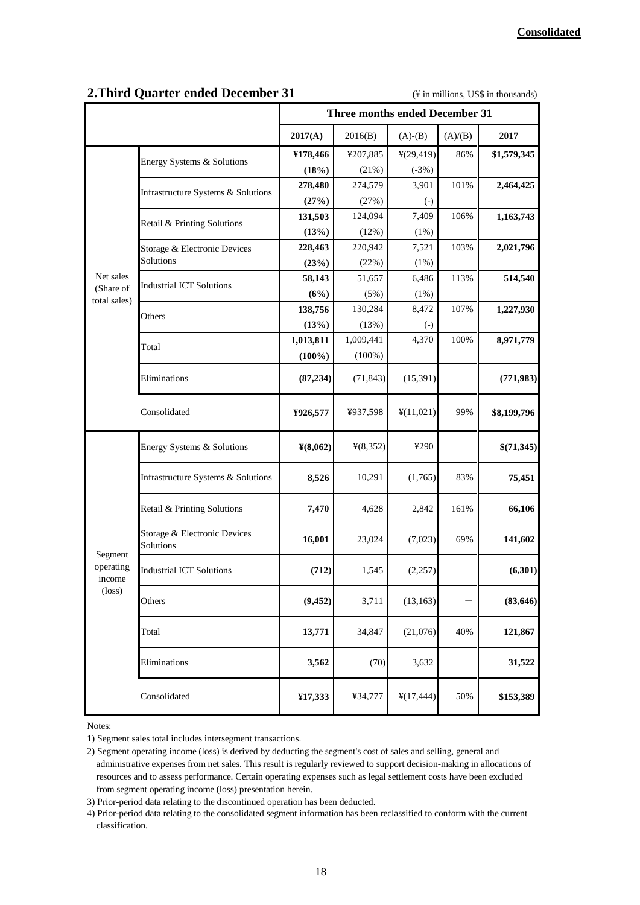|                                                   |                                           | <b>Three months ended December 31</b> |           |                        |         |             |
|---------------------------------------------------|-------------------------------------------|---------------------------------------|-----------|------------------------|---------|-------------|
|                                                   |                                           | 2017(A)                               | 2016(B)   | $(A)-(B)$              | (A)/(B) | 2017        |
|                                                   | Energy Systems & Solutions                | ¥178,466                              | ¥207,885  | ¥(29,419)              | 86%     | \$1,579,345 |
|                                                   |                                           | (18%)                                 | (21%)     | $(-3%)$                |         |             |
|                                                   | Infrastructure Systems & Solutions        | 278,480                               | 274,579   | 3,901                  | 101%    | 2,464,425   |
|                                                   |                                           | (27%)                                 | (27%)     | $\left( -\right)$      |         |             |
|                                                   | Retail & Printing Solutions               | 131,503                               | 124,094   | 7,409                  | 106%    | 1,163,743   |
|                                                   |                                           | (13%)                                 | (12%)     | (1%)                   |         |             |
|                                                   | Storage & Electronic Devices              | 228,463                               | 220,942   | 7,521                  | 103%    | 2,021,796   |
|                                                   | Solutions                                 | (23%)                                 | (22%)     | (1%)                   |         |             |
| Net sales                                         | <b>Industrial ICT Solutions</b>           | 58,143                                | 51,657    | 6,486                  | 113%    | 514,540     |
| (Share of<br>total sales)                         |                                           | (6%)                                  | (5%)      | $(1\%)$                |         |             |
|                                                   | Others                                    | 138,756                               | 130,284   | 8,472                  | 107%    | 1,227,930   |
|                                                   |                                           | (13%)                                 | (13%)     | $\left( -\right)$      |         |             |
|                                                   | Total                                     | 1,013,811                             | 1,009,441 | 4,370                  | 100%    | 8,971,779   |
|                                                   |                                           | $(100\%)$                             | $(100\%)$ |                        |         |             |
|                                                   | Eliminations                              | (87, 234)                             | (71, 843) | (15,391)               |         | (771, 983)  |
|                                                   | Consolidated                              | ¥926,577                              | ¥937,598  | ¥(11,021)              | 99%     | \$8,199,796 |
|                                                   | Energy Systems & Solutions                | $\frac{1}{2}(8,062)$                  | 4(8,352)  | ¥290                   |         | \$(71,345)  |
|                                                   | Infrastructure Systems & Solutions        | 8,526                                 | 10,291    | (1,765)                | 83%     | 75,451      |
|                                                   | Retail & Printing Solutions               | 7,470                                 | 4,628     | 2,842                  | 161%    | 66,106      |
| Segment<br>operating<br>income<br>$(\text{loss})$ | Storage & Electronic Devices<br>Solutions | 16,001                                | 23,024    | (7,023)                | 69%     | 141,602     |
|                                                   | <b>Industrial ICT Solutions</b>           | (712)                                 | 1,545     | (2,257)                |         | (6,301)     |
|                                                   | Others                                    | (9, 452)                              | 3,711     | (13, 163)              |         | (83, 646)   |
|                                                   | Total                                     | 13,771                                | 34,847    | (21,076)               | 40%     | 121,867     |
|                                                   | Eliminations                              | 3,562                                 | (70)      | 3,632                  |         | 31,522      |
|                                                   | Consolidated                              | ¥17,333                               | ¥34,777   | $\frac{1}{2}(17, 444)$ | 50%     | \$153,389   |

#### **2. Third Quarter ended December 31** (\ftdtd{in millions, US\$ in thousands)

Notes:

<sup>1)</sup> Segment sales total includes intersegment transactions.

<sup>2)</sup> Segment operating income (loss) is derived by deducting the segment's cost of sales and selling, general and administrative expenses from net sales. This result is regularly reviewed to support decision-making in allocations of resources and to assess performance. Certain operating expenses such as legal settlement costs have been excluded from segment operating income (loss) presentation herein.

<sup>3)</sup> Prior-period data relating to the discontinued operation has been deducted.

<sup>4)</sup> Prior-period data relating to the consolidated segment information has been reclassified to conform with the current classification.